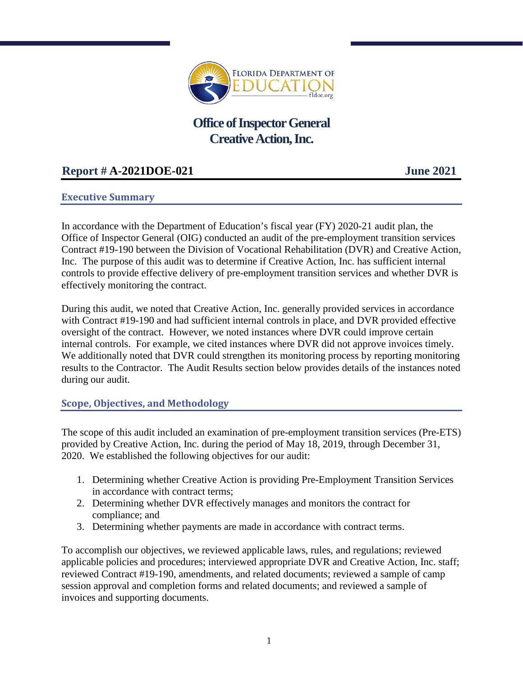

# **Office of Inspector General Creative Action, Inc.**

## **Report # A-2021DOE-021 June 2021**

## **Executive Summary**

In accordance with the Department of Education's fiscal year (FY) 2020-21 audit plan, the Office of Inspector General (OIG) conducted an audit of the pre-employment transition services Contract #19-190 between the Division of Vocational Rehabilitation (DVR) and Creative Action, Inc. The purpose of this audit was to determine if Creative Action, Inc. has sufficient internal controls to provide effective delivery of pre-employment transition services and whether DVR is effectively monitoring the contract.

During this audit, we noted that Creative Action, Inc. generally provided services in accordance with Contract #19-190 and had sufficient internal controls in place, and DVR provided effective oversight of the contract. However, we noted instances where DVR could improve certain internal controls. For example, we cited instances where DVR did not approve invoices timely. We additionally noted that DVR could strengthen its monitoring process by reporting monitoring results to the Contractor. The Audit Results section below provides details of the instances noted during our audit.

#### **Scope, Objectives, and Methodology**

The scope of this audit included an examination of pre-employment transition services (Pre-ETS) provided by Creative Action, Inc. during the period of May 18, 2019, through December 31, 2020. We established the following objectives for our audit:

- 1. Determining whether Creative Action is providing Pre-Employment Transition Services in accordance with contract terms;
- 2. Determining whether DVR effectively manages and monitors the contract for compliance; and
- 3. Determining whether payments are made in accordance with contract terms.

To accomplish our objectives, we reviewed applicable laws, rules, and regulations; reviewed applicable policies and procedures; interviewed appropriate DVR and Creative Action, Inc. staff; reviewed Contract #19-190, amendments, and related documents; reviewed a sample of camp session approval and completion forms and related documents; and reviewed a sample of invoices and supporting documents.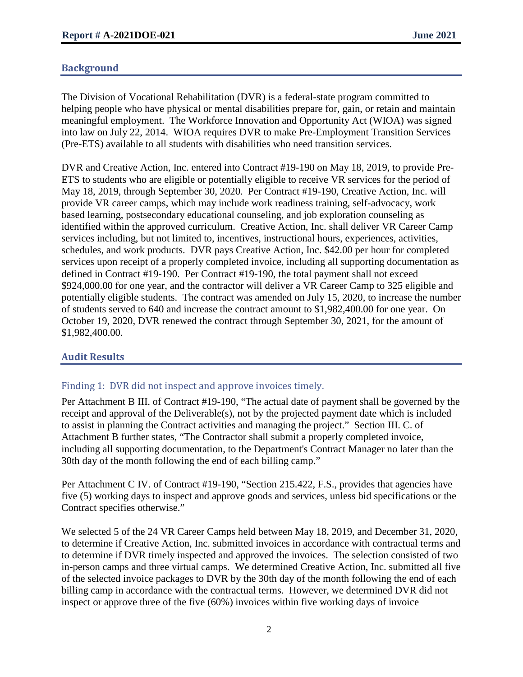## **Background**

The Division of Vocational Rehabilitation (DVR) is a federal-state program committed to helping people who have physical or mental disabilities prepare for, gain, or retain and maintain meaningful employment. The Workforce Innovation and Opportunity Act (WIOA) was signed into law on July 22, 2014. WIOA requires DVR to make Pre-Employment Transition Services (Pre-ETS) available to all students with disabilities who need transition services.

DVR and Creative Action, Inc. entered into Contract #19-190 on May 18, 2019, to provide Pre-ETS to students who are eligible or potentially eligible to receive VR services for the period of May 18, 2019, through September 30, 2020. Per Contract #19-190, Creative Action, Inc. will provide VR career camps, which may include work readiness training, self-advocacy, work based learning, postsecondary educational counseling, and job exploration counseling as identified within the approved curriculum. Creative Action, Inc. shall deliver VR Career Camp services including, but not limited to, incentives, instructional hours, experiences, activities, schedules, and work products. DVR pays Creative Action, Inc. \$42.00 per hour for completed services upon receipt of a properly completed invoice, including all supporting documentation as defined in Contract #19-190. Per Contract #19-190, the total payment shall not exceed \$924,000.00 for one year, and the contractor will deliver a VR Career Camp to 325 eligible and potentially eligible students. The contract was amended on July 15, 2020, to increase the number of students served to 640 and increase the contract amount to \$1,982,400.00 for one year. On October 19, 2020, DVR renewed the contract through September 30, 2021, for the amount of \$1,982,400.00.

#### **Audit Results**

#### Finding 1: DVR did not inspect and approve invoices timely.

Per Attachment B III. of Contract #19-190, "The actual date of payment shall be governed by the receipt and approval of the Deliverable(s), not by the projected payment date which is included to assist in planning the Contract activities and managing the project." Section III. C. of Attachment B further states, "The Contractor shall submit a properly completed invoice, including all supporting documentation, to the Department's Contract Manager no later than the 30th day of the month following the end of each billing camp."

Per Attachment C IV. of Contract #19-190, "Section 215.422, F.S., provides that agencies have five (5) working days to inspect and approve goods and services, unless bid specifications or the Contract specifies otherwise."

We selected 5 of the 24 VR Career Camps held between May 18, 2019, and December 31, 2020, to determine if Creative Action, Inc. submitted invoices in accordance with contractual terms and to determine if DVR timely inspected and approved the invoices. The selection consisted of two in-person camps and three virtual camps. We determined Creative Action, Inc. submitted all five of the selected invoice packages to DVR by the 30th day of the month following the end of each billing camp in accordance with the contractual terms. However, we determined DVR did not inspect or approve three of the five (60%) invoices within five working days of invoice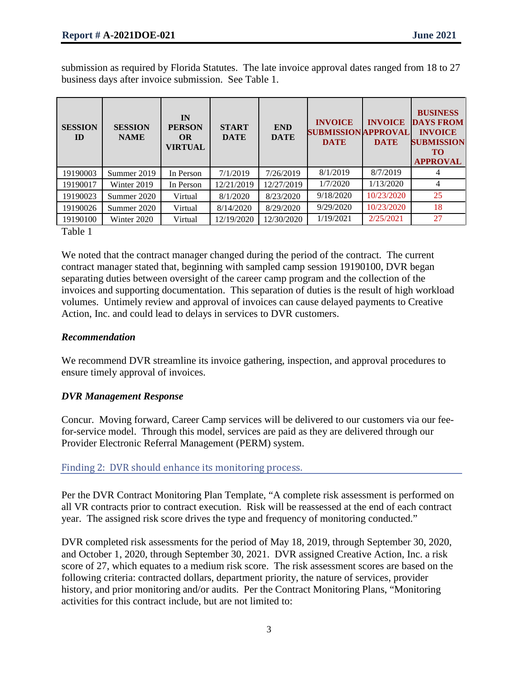submission as required by Florida Statutes. The late invoice approval dates ranged from 18 to 27 business days after invoice submission. See Table 1.

| <b>SESSION</b><br>$\mathbf{D}$ | <b>SESSION</b><br><b>NAME</b> | IN<br><b>PERSON</b><br><b>OR</b><br><b>VIRTUAL</b> | <b>START</b><br><b>DATE</b> | <b>END</b><br><b>DATE</b> | <b>INVOICE</b><br><b>SUBMISSION APPROVAL</b><br><b>DATE</b> | <b>INVOICE</b><br><b>DATE</b> | <b>BUSINESS</b><br><b>DAYS FROM</b><br><b>INVOICE</b><br><b>SUBMISSION</b><br><b>TO</b><br><b>APPROVAL</b> |
|--------------------------------|-------------------------------|----------------------------------------------------|-----------------------------|---------------------------|-------------------------------------------------------------|-------------------------------|------------------------------------------------------------------------------------------------------------|
| 19190003                       | Summer 2019                   | In Person                                          | 7/1/2019                    | 7/26/2019                 | 8/1/2019                                                    | 8/7/2019                      |                                                                                                            |
| 19190017                       | Winter 2019                   | In Person                                          | 12/21/2019                  | 12/27/2019                | 1/7/2020                                                    | 1/13/2020                     | 4                                                                                                          |
| 19190023                       | Summer 2020                   | Virtual                                            | 8/1/2020                    | 8/23/2020                 | 9/18/2020                                                   | 10/23/2020                    | 25                                                                                                         |
| 19190026                       | Summer 2020                   | Virtual                                            | 8/14/2020                   | 8/29/2020                 | 9/29/2020                                                   | 10/23/2020                    | 18                                                                                                         |
| 19190100                       | Winter 2020                   | Virtual                                            | 12/19/2020                  | 12/30/2020                | 1/19/2021                                                   | 2/25/2021                     | 27                                                                                                         |

Table 1

We noted that the contract manager changed during the period of the contract. The current contract manager stated that, beginning with sampled camp session 19190100, DVR began separating duties between oversight of the career camp program and the collection of the invoices and supporting documentation. This separation of duties is the result of high workload volumes. Untimely review and approval of invoices can cause delayed payments to Creative Action, Inc. and could lead to delays in services to DVR customers.

#### *Recommendation*

We recommend DVR streamline its invoice gathering, inspection, and approval procedures to ensure timely approval of invoices.

#### *DVR Management Response*

Concur. Moving forward, Career Camp services will be delivered to our customers via our feefor-service model. Through this model, services are paid as they are delivered through our Provider Electronic Referral Management (PERM) system.

Finding 2: DVR should enhance its monitoring process.

Per the DVR Contract Monitoring Plan Template, "A complete risk assessment is performed on all VR contracts prior to contract execution. Risk will be reassessed at the end of each contract year. The assigned risk score drives the type and frequency of monitoring conducted."

DVR completed risk assessments for the period of May 18, 2019, through September 30, 2020, and October 1, 2020, through September 30, 2021. DVR assigned Creative Action, Inc. a risk score of 27, which equates to a medium risk score. The risk assessment scores are based on the following criteria: contracted dollars, department priority, the nature of services, provider history, and prior monitoring and/or audits. Per the Contract Monitoring Plans, "Monitoring activities for this contract include, but are not limited to: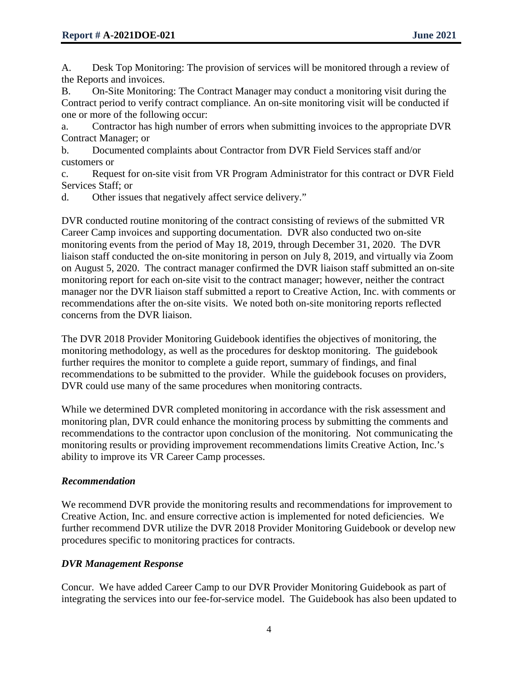A. Desk Top Monitoring: The provision of services will be monitored through a review of the Reports and invoices.

B. On-Site Monitoring: The Contract Manager may conduct a monitoring visit during the Contract period to verify contract compliance. An on-site monitoring visit will be conducted if one or more of the following occur:

a. Contractor has high number of errors when submitting invoices to the appropriate DVR Contract Manager; or

b. Documented complaints about Contractor from DVR Field Services staff and/or customers or

c. Request for on-site visit from VR Program Administrator for this contract or DVR Field Services Staff; or

d. Other issues that negatively affect service delivery."

DVR conducted routine monitoring of the contract consisting of reviews of the submitted VR Career Camp invoices and supporting documentation. DVR also conducted two on-site monitoring events from the period of May 18, 2019, through December 31, 2020. The DVR liaison staff conducted the on-site monitoring in person on July 8, 2019, and virtually via Zoom on August 5, 2020. The contract manager confirmed the DVR liaison staff submitted an on-site monitoring report for each on-site visit to the contract manager; however, neither the contract manager nor the DVR liaison staff submitted a report to Creative Action, Inc. with comments or recommendations after the on-site visits. We noted both on-site monitoring reports reflected concerns from the DVR liaison.

The DVR 2018 Provider Monitoring Guidebook identifies the objectives of monitoring, the monitoring methodology, as well as the procedures for desktop monitoring. The guidebook further requires the monitor to complete a guide report, summary of findings, and final recommendations to be submitted to the provider. While the guidebook focuses on providers, DVR could use many of the same procedures when monitoring contracts.

While we determined DVR completed monitoring in accordance with the risk assessment and monitoring plan, DVR could enhance the monitoring process by submitting the comments and recommendations to the contractor upon conclusion of the monitoring. Not communicating the monitoring results or providing improvement recommendations limits Creative Action, Inc.'s ability to improve its VR Career Camp processes.

## *Recommendation*

We recommend DVR provide the monitoring results and recommendations for improvement to Creative Action, Inc. and ensure corrective action is implemented for noted deficiencies. We further recommend DVR utilize the DVR 2018 Provider Monitoring Guidebook or develop new procedures specific to monitoring practices for contracts.

#### *DVR Management Response*

Concur. We have added Career Camp to our DVR Provider Monitoring Guidebook as part of integrating the services into our fee-for-service model. The Guidebook has also been updated to